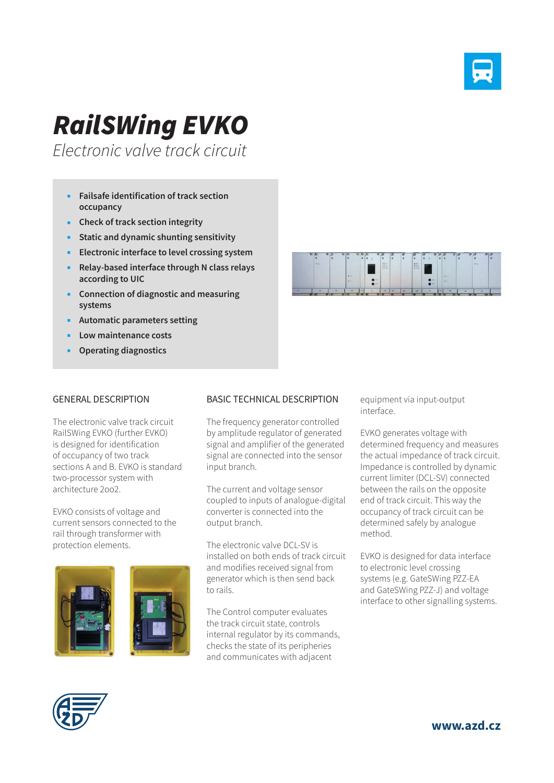

## *RailSWing EVKO*

*Electronic valve track circuit*

- **Failsafe identification of track section occupancy**
- **Check of track section integrity**
- **Static and dynamic shunting sensitivity**
- **Electronic interface to level crossing system**
- **Relay-based interface through N class relays according to UIC**
- **Connection of diagnostic and measuring systems**
- **Automatic parameters setting**
- **Low maintenance costs**
- **Operating diagnostics**

## GENERAL DESCRIPTION

The electronic valve track circuit RailSWing EVKO (further EVKO) is designed for identification of occupancy of two track sections A and B. EVKO is standard two-processor system with architecture 2oo2.

EVKO consists of voltage and current sensors connected to the rail through transformer with protection elements.





The frequency generator controlled by amplitude regulator of generated signal and amplifier of the generated signal are connected into the sensor input branch.

The current and voltage sensor coupled to inputs of analogue-digital converter is connected into the output branch.

The electronic valve DCL-SV is installed on both ends of track circuit and modifies received signal from generator which is then send back to rails.

The Control computer evaluates the track circuit state, controls internal regulator by its commands, checks the state of its peripheries and communicates with adjacent



equipment via input-output interface.

EVKO generates voltage with determined frequency and measures the actual impedance of track circuit. Impedance is controlled by dynamic current limiter (DCL-SV) connected between the rails on the opposite end of track circuit. This way the occupancy of track circuit can be determined safely by analogue method.

EVKO is designed for data interface to electronic level crossing systems (e.g. GateSWing PZZ-EA and GateSWing PZZ-J) and voltage interface to other signalling systems.



**www.azd.cz**